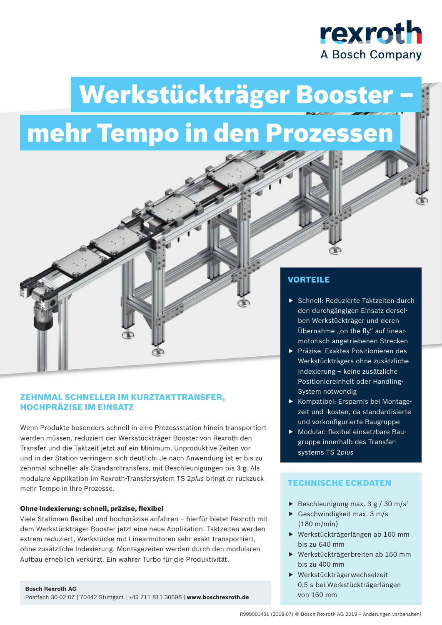

# Werkstückträger Booster – mehr Tempo in den Prozessen

### ZEHNMAL SCHNELLER IM KURZTAKTTRANSFER, HOCHPRÄZISE IM EINSATZ

Wenn Produkte besonders schnell in eine Prozessstation hinein transportiert werden müssen, reduziert der Werkstückträger Booster von Rexroth den Transfer und die Taktzeit jetzt auf ein Minimum. Unproduktive Zeiten vor und in der Station verringern sich deutlich: Je nach Anwendung ist er bis zu zehnmal schneller als Standardtransfers, mit Beschleunigungen bis 3 g. Als modulare Applikation im Rexroth-Transfersystem TS 2*plus* bringt er ruckzuck mehr Tempo in Ihre Prozesse.

#### Ohne Indexierung: schnell, präzise, flexibel

Viele Stationen flexibel und hochpräzise anfahren – hierfür bietet Rexroth mit dem Werkstückträger Booster jetzt eine neue Applikation. Taktzeiten werden extrem reduziert, Werkstücke mit Linearmotoren sehr exakt transportiert, ohne zusätzliche Indexierung. Montagezeiten werden durch den modularen Aufbau erheblich verkürzt. Ein wahrer Turbo für die Produktivität.

### VORTEILE

- ▶ Schnell: Reduzierte Taktzeiten durch den durchgängigen Einsatz derselben Werkstückträger und deren Übernahme "on the fly" auf linearmotorisch angetriebenen Strecken
- ▶ Präzise: Exaktes Positionieren des Werkstückträgers ohne zusätzliche Indexierung – keine zusätzliche Positioniereinheit oder Handling-System notwendig
- Kompatibel: Ersparnis bei Montagezeit und -kosten, da standardisierte und vorkonfigurierte Baugruppe
- $\blacktriangleright$  Modular: flexibel einsetzbare Baugruppe innerhalb des Transfersystems TS 2*plus*

### TECHNISCHE ECKDATEN

- Beschleunigung max.  $3 g / 30 m/s^2$
- Geschwindigkeit max.  $3 m/s$ (180 m/min)
- $\blacktriangleright$  Werkstückträgerlängen ab 160 mm bis zu 640 mm
- $\blacktriangleright$  Werkstückträgerbreiten ab 160 mm bis zu 400 mm
- $\blacktriangleright$  Werkstückträgerwechselzeit 0,5 s bei Werkstückträgerlängen von 160 mm